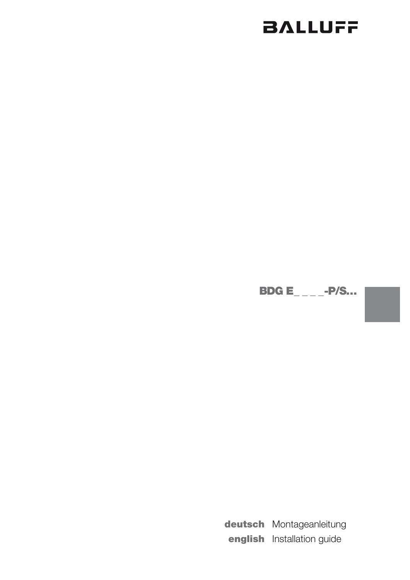# **BALLUFF**

**BDG E\_\_\_\_-P/S...** 

deutsch Montageanleitung english Installation guide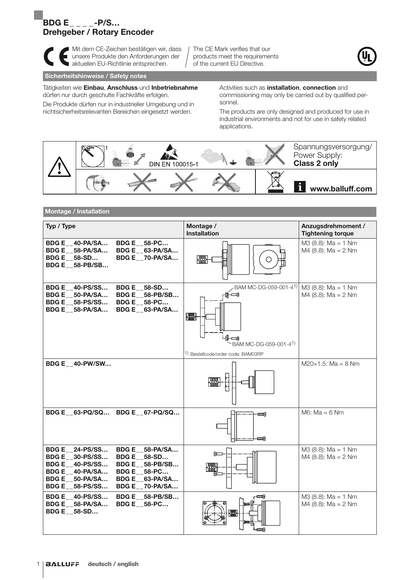# $\overline{B}D G E$ \_\_\_\_-P/S... Drehgeber / Rotary Encoder



**Mit dem CE-Zeichen bestätigen wir, dass** unsere Produkte den Anforderungen der aktuellen EU-Richtlinie entsprechen.

The CE Mark verifies that our products meet the requirements of the current EU Directive.



#### Sicherheitshinweise / Safety notes

Tätigkeiten wie Einbau, Anschluss und Inbetriebnahme dürfen nur durch geschulte Fachkräfte erfolgen.

Die Produkte dürfen nur in industrieller Umgebung und in nichtsicherheitsrelevanten Bereichen eingesetzt werden.

Activities such as **installation**, **connection** and commissioning may only be carried out by qualified personnel.

The products are only designed and produced for use in industrial environments and not for use in safety related applications.



## Montage / Installation

| Typ / Type                                                                                                                                                                                                                                                       | Montage /<br><b>Installation</b>                                                                                    | Anzugsdrehmoment /<br><b>Tightening torque</b>     |
|------------------------------------------------------------------------------------------------------------------------------------------------------------------------------------------------------------------------------------------------------------------|---------------------------------------------------------------------------------------------------------------------|----------------------------------------------------|
| BDG E 40-PA/SA<br><b>BDG E __ 58-PC</b><br>BDG E 58-PA/SA<br>BDG E 63-PA/SA<br>BDG E _70-PA/SA<br><b>BDG E</b> 58-SD<br><b>BDG E 58-PB/SB</b>                                                                                                                    |                                                                                                                     | $M3$ (8.8): Ma = 1 Nm<br>$M4$ (8.8): Ma = 2 Nm     |
| <b>BDG E__40-PS/SS</b><br><b>BDG E 58-SD</b><br>BDG E 50-PA/SA<br><b>BDG E 58-PB/SB</b><br>BDG E__58-PS/SS<br><b>BDG E __ 58-PC</b><br><b>BDG E 58-PA/SA</b><br>BDG E 63-PA/SA                                                                                   | BAM MC-DG-059-001-41)<br>ர்⊩ு<br><b>SHIP</b><br>∰—⊡9<br>BAM MC-DG-059-001-41)<br>1) Bestellcode/order code: BAM03RP | $M3$ (8.8): $Ma = 1$ Nm<br>$M4$ (8.8): $Ma = 2 Nm$ |
| <b>BDG E 40-PW/SW</b>                                                                                                                                                                                                                                            |                                                                                                                     | $M20\times1.5$ : Ma = 8 Nm                         |
| BDG E 63-PQ/SQ BDG E 67-PQ/SQ                                                                                                                                                                                                                                    | ≕                                                                                                                   | $M6$ : Ma = 6 Nm                                   |
| <b>BDG E 24-PS/SS</b><br>BDG E 58-PA/SA<br><b>BDG E 30-PS/SS</b><br><b>BDG E</b> 58-SD<br><b>BDG E__58-PB/SB</b><br><b>BDG E 40-PS/SS</b><br>BDG E 40-PA/SA<br><b>BDG E 58-PC</b><br>BDG E 50-PA/SA<br>BDG E 63-PA/SA<br><b>BDG E</b> 58-PS/SS<br>BDG E 70-PA/SA | حصدا                                                                                                                | $M3$ (8.8): Ma = 1 Nm<br>M4 (8.8): $Ma = 2 Nm$     |
| <b>BDG E__58-PB/SB</b><br><b>BDG E</b> 40-PS/SS<br><b>BDG E 58-PC</b><br><b>BDG E 58-PA/SA</b><br><b>BDG E</b> 58-SD                                                                                                                                             | =4                                                                                                                  | $M3$ (8.8): Ma = 1 Nm<br>$M4$ (8.8): $Ma = 2 Nm$   |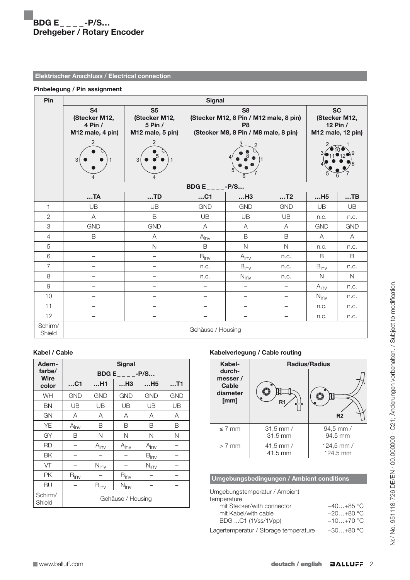# Elektrischer Anschluss / Electrical connection

### Pinbelegung / Pin assignment

| Pin               | <b>Signal</b>                                                       |                                                                     |                                                                                                                    |                          |                                                             |                  |              |
|-------------------|---------------------------------------------------------------------|---------------------------------------------------------------------|--------------------------------------------------------------------------------------------------------------------|--------------------------|-------------------------------------------------------------|------------------|--------------|
|                   | <b>S4</b><br>(Stecker M12,<br>4 Pin /<br>M12 male, 4 pin)<br>2<br>p | S <sub>5</sub><br>(Stecker M12,<br>5 Pin /<br>M12 male, 5 pin)<br>2 | S <sub>8</sub><br>(Stecker M12, 8 Pin / M12 male, 8 pin)<br>P <sub>8</sub><br>(Stecker M8, 8 Pin / M8 male, 8 pin) |                          | <b>SC</b><br>(Stecker M12,<br>12 Pin /<br>M12 male, 12 pin) |                  |              |
|                   | <b>BDGE_</b><br>$-P/S$                                              |                                                                     |                                                                                                                    |                          |                                                             |                  |              |
|                   | TA                                                                  | TD                                                                  | $$ C1                                                                                                              | H3                       | T2                                                          | H5               | $$ TB        |
| $\mathbf{1}$      | UB                                                                  | UB                                                                  | <b>GND</b>                                                                                                         | <b>GND</b>               | <b>GND</b>                                                  | UB               | UB           |
| $\mathbf{2}$      | Α                                                                   | B                                                                   | UB                                                                                                                 | UB                       | UB                                                          | n.c.             | n.c.         |
| 3                 | <b>GND</b>                                                          | <b>GND</b>                                                          | Α                                                                                                                  | A                        | A                                                           | <b>GND</b>       | <b>GND</b>   |
| 4                 | $\mathsf B$                                                         | Α                                                                   | $A_{i\underline{n}\underline{v}}$                                                                                  | $\mathsf B$              | $\mathsf B$                                                 | Α                | A            |
| 5                 | $\overline{\phantom{0}}$                                            | $\mathsf{N}$                                                        | $\mathsf B$                                                                                                        | $\mathsf{N}$             | $\mathsf{N}$                                                | n.c.             | n.c.         |
| $\,6$             | $\overline{\phantom{0}}$                                            | $\overline{\phantom{0}}$                                            | $B_{inv}$                                                                                                          | $A_{inv}$                | n.c.                                                        | B                | $\mathsf B$  |
| $\overline{7}$    | $\overline{\phantom{0}}$                                            | $\overline{\phantom{0}}$                                            | n.c.                                                                                                               | $B_{\text{inv}}$         | n.c.                                                        | $B_{inv}$        | n.c.         |
| 8                 | $\overline{a}$                                                      | $\overline{\phantom{0}}$                                            | n.c.                                                                                                               | $N_{\text{inv}}$         | n.c.                                                        | $\mathsf{N}$     | $\mathsf{N}$ |
| $\hbox{9}$        | $\overline{\phantom{0}}$                                            | $\overline{\phantom{a}}$                                            | $\overline{\phantom{0}}$                                                                                           | $\overline{\phantom{0}}$ | $\overline{\phantom{0}}$                                    | $A_{inv}$        | n.c.         |
| 10                | $\overline{\phantom{0}}$                                            |                                                                     |                                                                                                                    |                          | —                                                           | $N_{\text{inv}}$ | n.c.         |
| 11                | $\overline{\phantom{0}}$                                            |                                                                     | —                                                                                                                  | —                        | —                                                           | n.c.             | n.c.         |
| 12                | $\qquad \qquad -$                                                   | $\overline{\phantom{0}}$                                            | -                                                                                                                  |                          | $\qquad \qquad -$                                           | n.c.             | n.c.         |
| Schirm/<br>Shield | Gehäuse / Housing                                                   |                                                                     |                                                                                                                    |                          |                                                             |                  |              |

# Kabel / Cable

| Adern-                | <b>Signal</b>          |                  |                  |                  |            |  |
|-----------------------|------------------------|------------------|------------------|------------------|------------|--|
| farbe/<br><b>Wire</b> | <b>BDG E _____-P/S</b> |                  |                  |                  |            |  |
| color                 | $$ C1                  | H1               | H3               | H5               | $$ T1      |  |
| <b>WH</b>             | <b>GND</b>             | <b>GND</b>       | <b>GND</b>       | <b>GND</b>       | <b>GND</b> |  |
| BN                    | UB                     | UB               | UB               | UB               | UB         |  |
| GN                    | A                      | A                | A                | A                | A          |  |
| YE                    | $A_{inv}$              | B                | B                | B                | В          |  |
| GY                    | B                      | Ν                | N                | N                | Ν          |  |
| <b>RD</b>             |                        | $A_{\text{inv}}$ | $A_{inv}$        | $A_{inv}$        |            |  |
| <b>BK</b>             |                        |                  |                  | $B_{inv}$        |            |  |
| VT                    |                        | $N_{\text{inv}}$ |                  | $N_{\text{inv}}$ |            |  |
| <b>PK</b>             | $B_{inv}$              |                  | $B_{inv}$        |                  |            |  |
| BU                    |                        | $B_{inv}$        | $N_{\text{inv}}$ |                  |            |  |
| Schirm/<br>Shield     | Gehäuse / Housing      |                  |                  |                  |            |  |

# Kabelverlegung / Cable routing

| Kabel-                                         | <b>Radius/Radius</b>   |                        |  |
|------------------------------------------------|------------------------|------------------------|--|
| durch-<br>messer/<br>Cable<br>diameter<br>[mm] | R1                     | R <sub>2</sub>         |  |
| $\leq$ 7 mm                                    | $31,5$ mm /<br>31.5 mm | 94,5 mm /<br>94.5 mm   |  |
| $> 7$ mm                                       | 41,5 mm $/$<br>41.5 mm | 124,5 mm /<br>124.5 mm |  |

# Umgebungsbedingungen / Ambient conditions

| Umgebungstemperatur / Ambient |             |
|-------------------------------|-------------|
| temperature                   |             |
| mit Stecker/with connector    | $-40+85$ °C |
| mit Kabel/with cable          | $-20+80$ °C |
| BDG C1 (1Vss/1Vpp)            | $-10+70$ °C |
|                               |             |

Lagertemperatur / Storage temperature −30…+80 °C